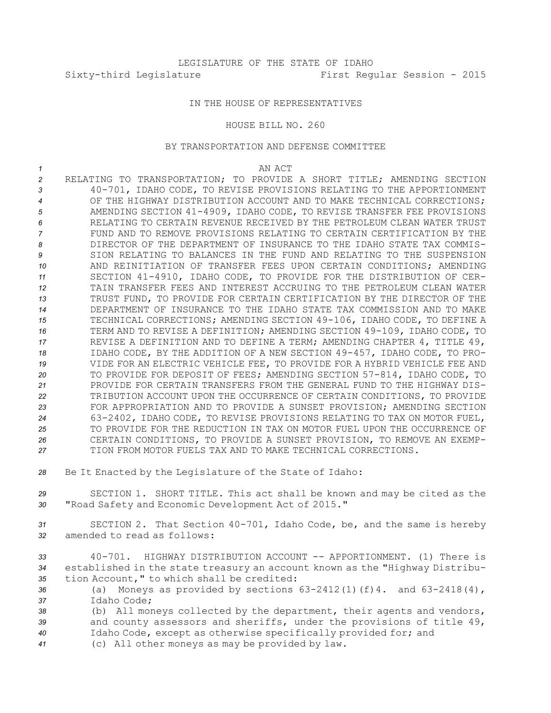## IN THE HOUSE OF REPRESENTATIVES

## HOUSE BILL NO. 260

## BY TRANSPORTATION AND DEFENSE COMMITTEE

*1* AN ACT RELATING TO TRANSPORTATION; TO PROVIDE A SHORT TITLE; AMENDING SECTION 40-701, IDAHO CODE, TO REVISE PROVISIONS RELATING TO THE APPORTIONMENT OF THE HIGHWAY DISTRIBUTION ACCOUNT AND TO MAKE TECHNICAL CORRECTIONS; AMENDING SECTION 41-4909, IDAHO CODE, TO REVISE TRANSFER FEE PROVISIONS RELATING TO CERTAIN REVENUE RECEIVED BY THE PETROLEUM CLEAN WATER TRUST FUND AND TO REMOVE PROVISIONS RELATING TO CERTAIN CERTIFICATION BY THE DIRECTOR OF THE DEPARTMENT OF INSURANCE TO THE IDAHO STATE TAX COMMIS- SION RELATING TO BALANCES IN THE FUND AND RELATING TO THE SUSPENSION AND REINITIATION OF TRANSFER FEES UPON CERTAIN CONDITIONS; AMENDING SECTION 41-4910, IDAHO CODE, TO PROVIDE FOR THE DISTRIBUTION OF CER- TAIN TRANSFER FEES AND INTEREST ACCRUING TO THE PETROLEUM CLEAN WATER TRUST FUND, TO PROVIDE FOR CERTAIN CERTIFICATION BY THE DIRECTOR OF THE DEPARTMENT OF INSURANCE TO THE IDAHO STATE TAX COMMISSION AND TO MAKE TECHNICAL CORRECTIONS; AMENDING SECTION 49-106, IDAHO CODE, TO DEFINE A TERM AND TO REVISE A DEFINITION; AMENDING SECTION 49-109, IDAHO CODE, TO REVISE A DEFINITION AND TO DEFINE A TERM; AMENDING CHAPTER 4, TITLE 49, IDAHO CODE, BY THE ADDITION OF A NEW SECTION 49-457, IDAHO CODE, TO PRO- VIDE FOR AN ELECTRIC VEHICLE FEE, TO PROVIDE FOR A HYBRID VEHICLE FEE AND TO PROVIDE FOR DEPOSIT OF FEES; AMENDING SECTION 57-814, IDAHO CODE, TO PROVIDE FOR CERTAIN TRANSFERS FROM THE GENERAL FUND TO THE HIGHWAY DIS- TRIBUTION ACCOUNT UPON THE OCCURRENCE OF CERTAIN CONDITIONS, TO PROVIDE FOR APPROPRIATION AND TO PROVIDE A SUNSET PROVISION; AMENDING SECTION 63-2402, IDAHO CODE, TO REVISE PROVISIONS RELATING TO TAX ON MOTOR FUEL, TO PROVIDE FOR THE REDUCTION IN TAX ON MOTOR FUEL UPON THE OCCURRENCE OF CERTAIN CONDITIONS, TO PROVIDE A SUNSET PROVISION, TO REMOVE AN EXEMP- TION FROM MOTOR FUELS TAX AND TO MAKE TECHNICAL CORRECTIONS. Be It Enacted by the Legislature of the State of Idaho:

*<sup>29</sup>* SECTION 1. SHORT TITLE. This act shall be known and may be cited as the *<sup>30</sup>* "Road Safety and Economic Development Act of 2015."

*<sup>31</sup>* SECTION 2. That Section 40-701, Idaho Code, be, and the same is hereby *32* amended to read as follows:

*33* 40-701. HIGHWAY DISTRIBUTION ACCOUNT -- APPORTIONMENT. (1) There is *<sup>34</sup>* established in the state treasury an account known as the "Highway Distribu-*<sup>35</sup>* tion Account," to which shall be credited:

- *<sup>36</sup>* (a) Moneys as provided by sections 63-2412(1)(f)4. and 63-2418(4), *37* Idaho Code;
- *<sup>38</sup>* (b) All moneys collected by the department, their agents and vendors, *<sup>39</sup>* and county assessors and sheriffs, under the provisions of title 49, *<sup>40</sup>* Idaho Code, except as otherwise specifically provided for; and
- *<sup>41</sup>* (c) All other moneys as may be provided by law.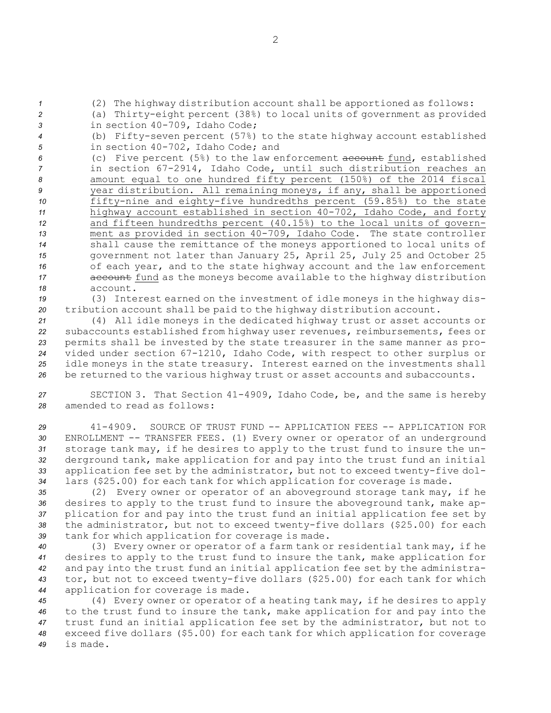(2) The highway distribution account shall be apportioned as follows: (a) Thirty-eight percent (38%) to local units of government as provided in section 40-709, Idaho Code; (b) Fifty-seven percent (57%) to the state highway account established in section 40-702, Idaho Code; and (c) Five percent (5%) to the law enforcement account fund, established in section 67-2914, Idaho Code, until such distribution reaches an amount equal to one hundred fifty percent (150%) of the 2014 fiscal year distribution. All remaining moneys, if any, shall be apportioned fifty-nine and eighty-five hundredths percent (59.85%) to the state highway account established in section 40-702, Idaho Code, and forty and fifteen hundredths percent (40.15%) to the local units of govern- ment as provided in section 40-709, Idaho Code. The state controller shall cause the remittance of the moneys apportioned to local units of government not later than January 25, April 25, July 25 and October 25 of each year, and to the state highway account and the law enforcement **account** fund as the moneys become available to the highway distribution *18* account.

*<sup>19</sup>* (3) Interest earned on the investment of idle moneys in the highway dis-*<sup>20</sup>* tribution account shall be paid to the highway distribution account.

 (4) All idle moneys in the dedicated highway trust or asset accounts or subaccounts established from highway user revenues, reimbursements, fees or permits shall be invested by the state treasurer in the same manner as pro- vided under section 67-1210, Idaho Code, with respect to other surplus or idle moneys in the state treasury. Interest earned on the investments shall be returned to the various highway trust or asset accounts and subaccounts.

*<sup>27</sup>* SECTION 3. That Section 41-4909, Idaho Code, be, and the same is hereby *28* amended to read as follows:

 41-4909. SOURCE OF TRUST FUND -- APPLICATION FEES -- APPLICATION FOR ENROLLMENT -- TRANSFER FEES. (1) Every owner or operator of an underground storage tank may, if he desires to apply to the trust fund to insure the un- derground tank, make application for and pay into the trust fund an initial application fee set by the administrator, but not to exceed twenty-five dol-lars (\$25.00) for each tank for which application for coverage is made.

 (2) Every owner or operator of an aboveground storage tank may, if he desires to apply to the trust fund to insure the aboveground tank, make ap- plication for and pay into the trust fund an initial application fee set by the administrator, but not to exceed twenty-five dollars (\$25.00) for each tank for which application for coverage is made.

 (3) Every owner or operator of <sup>a</sup> farm tank or residential tank may, if he desires to apply to the trust fund to insure the tank, make application for and pay into the trust fund an initial application fee set by the administra- tor, but not to exceed twenty-five dollars (\$25.00) for each tank for which application for coverage is made.

 (4) Every owner or operator of <sup>a</sup> heating tank may, if he desires to apply to the trust fund to insure the tank, make application for and pay into the trust fund an initial application fee set by the administrator, but not to exceed five dollars (\$5.00) for each tank for which application for coverage *49* is made.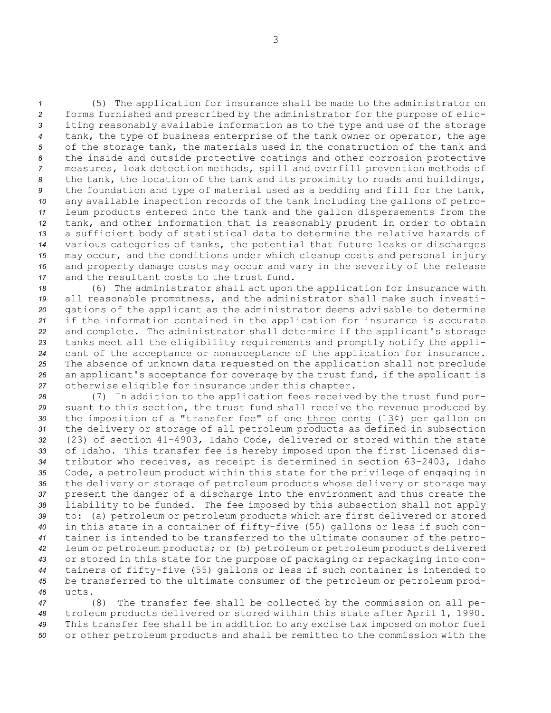(5) The application for insurance shall be made to the administrator on forms furnished and prescribed by the administrator for the purpose of elic- iting reasonably available information as to the type and use of the storage tank, the type of business enterprise of the tank owner or operator, the age of the storage tank, the materials used in the construction of the tank and the inside and outside protective coatings and other corrosion protective measures, leak detection methods, spill and overfill prevention methods of the tank, the location of the tank and its proximity to roads and buildings, the foundation and type of material used as <sup>a</sup> bedding and fill for the tank, any available inspection records of the tank including the gallons of petro- leum products entered into the tank and the gallon dispersements from the tank, and other information that is reasonably prudent in order to obtain <sup>a</sup> sufficient body of statistical data to determine the relative hazards of various categories of tanks, the potential that future leaks or discharges may occur, and the conditions under which cleanup costs and personal injury and property damage costs may occur and vary in the severity of the release and the resultant costs to the trust fund.

 (6) The administrator shall act upon the application for insurance with all reasonable promptness, and the administrator shall make such investi- gations of the applicant as the administrator deems advisable to determine if the information contained in the application for insurance is accurate and complete. The administrator shall determine if the applicant's storage tanks meet all the eligibility requirements and promptly notify the appli- cant of the acceptance or nonacceptance of the application for insurance. The absence of unknown data requested on the application shall not preclude an applicant's acceptance for coverage by the trust fund, if the applicant is otherwise eligible for insurance under this chapter.

 (7) In addition to the application fees received by the trust fund pur- suant to this section, the trust fund shall receive the revenue produced by the imposition of a "transfer fee" of one three cents ( $\pm 3\zeta$ ) per gallon on the delivery or storage of all petroleum products as defined in subsection (23) of section 41-4903, Idaho Code, delivered or stored within the state of Idaho. This transfer fee is hereby imposed upon the first licensed dis- tributor who receives, as receipt is determined in section 63-2403, Idaho Code, <sup>a</sup> petroleum product within this state for the privilege of engaging in the delivery or storage of petroleum products whose delivery or storage may present the danger of <sup>a</sup> discharge into the environment and thus create the liability to be funded. The fee imposed by this subsection shall not apply to: (a) petroleum or petroleum products which are first delivered or stored in this state in <sup>a</sup> container of fifty-five (55) gallons or less if such con- tainer is intended to be transferred to the ultimate consumer of the petro- leum or petroleum products; or (b) petroleum or petroleum products delivered or stored in this state for the purpose of packaging or repackaging into con- tainers of fifty-five (55) gallons or less if such container is intended to be transferred to the ultimate consumer of the petroleum or petroleum prod-*46* ucts.

 (8) The transfer fee shall be collected by the commission on all pe- troleum products delivered or stored within this state after April 1, 1990. This transfer fee shall be in addition to any excise tax imposed on motor fuel or other petroleum products and shall be remitted to the commission with the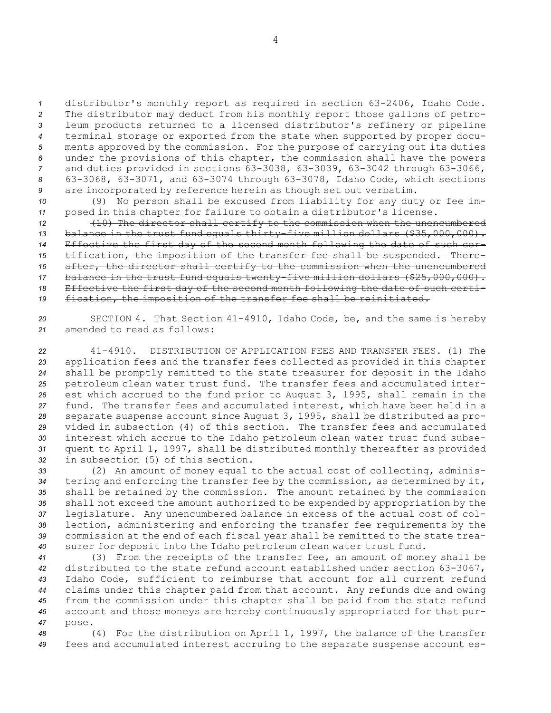distributor's monthly report as required in section 63-2406, Idaho Code. The distributor may deduct from his monthly report those gallons of petro- leum products returned to <sup>a</sup> licensed distributor's refinery or pipeline terminal storage or exported from the state when supported by proper docu- ments approved by the commission. For the purpose of carrying out its duties under the provisions of this chapter, the commission shall have the powers and duties provided in sections 63-3038, 63-3039, 63-3042 through 63-3066, 63-3068, 63-3071, and 63-3074 through 63-3078, Idaho Code, which sections are incorporated by reference herein as though set out verbatim.

*<sup>10</sup>* (9) No person shall be excused from liability for any duty or fee im-*<sup>11</sup>* posed in this chapter for failure to obtain <sup>a</sup> distributor's license.

 (10) The director shall certify to the commission when the unencumbered 13 balance in the trust fund equals thirty-five million dollars (\$35,000,000). Effective the first day of the second month following the date of such cer- tification, the imposition of the transfer fee shall be suspended. There- after, the director shall certify to the commission when the unencumbered balance in the trust fund equals twenty-five million dollars (\$25,000,000). Effective the first day of the second month following the date of such certi-fication, the imposition of the transfer fee shall be reinitiated.

*<sup>20</sup>* SECTION 4. That Section 41-4910, Idaho Code, be, and the same is hereby *21* amended to read as follows:

 41-4910. DISTRIBUTION OF APPLICATION FEES AND TRANSFER FEES. (1) The application fees and the transfer fees collected as provided in this chapter shall be promptly remitted to the state treasurer for deposit in the Idaho petroleum clean water trust fund. The transfer fees and accumulated inter- est which accrued to the fund prior to August 3, 1995, shall remain in the fund. The transfer fees and accumulated interest, which have been held in <sup>a</sup> separate suspense account since August 3, 1995, shall be distributed as pro- vided in subsection (4) of this section. The transfer fees and accumulated interest which accrue to the Idaho petroleum clean water trust fund subse- quent to April 1, 1997, shall be distributed monthly thereafter as provided in subsection (5) of this section.

 (2) An amount of money equal to the actual cost of collecting, adminis- tering and enforcing the transfer fee by the commission, as determined by it, shall be retained by the commission. The amount retained by the commission shall not exceed the amount authorized to be expended by appropriation by the legislature. Any unencumbered balance in excess of the actual cost of col- lection, administering and enforcing the transfer fee requirements by the commission at the end of each fiscal year shall be remitted to the state trea-surer for deposit into the Idaho petroleum clean water trust fund.

 (3) From the receipts of the transfer fee, an amount of money shall be distributed to the state refund account established under section 63-3067, Idaho Code, sufficient to reimburse that account for all current refund claims under this chapter paid from that account. Any refunds due and owing from the commission under this chapter shall be paid from the state refund account and those moneys are hereby continuously appropriated for that pur-*47* pose.

*<sup>48</sup>* (4) For the distribution on April 1, 1997, the balance of the transfer *<sup>49</sup>* fees and accumulated interest accruing to the separate suspense account es-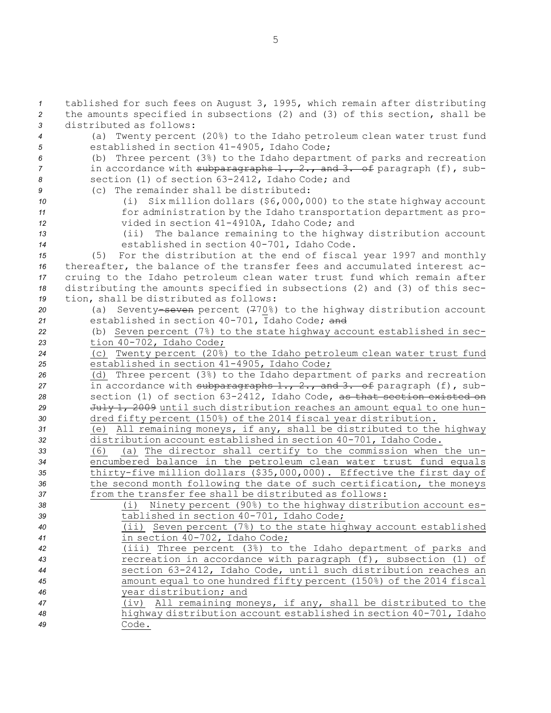tablished for such fees on August 3, 1995, which remain after distributing the amounts specified in subsections (2) and (3) of this section, shall be distributed as follows: (a) Twenty percent (20%) to the Idaho petroleum clean water trust fund established in section 41-4905, Idaho Code; (b) Three percent (3%) to the Idaho department of parks and recreation in accordance with subparagraphs 1., 2., and 3. of paragraph (f), sub- section (1) of section 63-2412, Idaho Code; and (c) The remainder shall be distributed: (i) Six million dollars (\$6,000,000) to the state highway account for administration by the Idaho transportation department as pro- vided in section 41-4910A, Idaho Code; and (ii) The balance remaining to the highway distribution account established in section 40-701, Idaho Code. (5) For the distribution at the end of fiscal year 1997 and monthly thereafter, the balance of the transfer fees and accumulated interest ac- cruing to the Idaho petroleum clean water trust fund which remain after distributing the amounts specified in subsections (2) and (3) of this sec- tion, shall be distributed as follows: (a) Seventy-seven percent (770%) to the highway distribution account established in section 40-701, Idaho Code; and (b) Seven percent (7%) to the state highway account established in sec- tion 40-702, Idaho Code; (c) Twenty percent (20%) to the Idaho petroleum clean water trust fund established in section 41-4905, Idaho Code; (d) Three percent (3%) to the Idaho department of parks and recreation in accordance with subparagraphs 1., 2., and 3. of paragraph (f), sub- section (1) of section 63-2412, Idaho Code, as that section existed on July 1, 2009 until such distribution reaches an amount equal to one hun- dred fifty percent (150%) of the 2014 fiscal year distribution. (e) All remaining moneys, if any, shall be distributed to the highway distribution account established in section 40-701, Idaho Code. (6) (a) The director shall certify to the commission when the un- encumbered balance in the petroleum clean water trust fund equals thirty-five million dollars (\$35,000,000). Effective the first day of the second month following the date of such certification, the moneys from the transfer fee shall be distributed as follows: (i) Ninety percent (90%) to the highway distribution account es- tablished in section 40-701, Idaho Code; (ii) Seven percent (7%) to the state highway account established in section 40-702, Idaho Code; (iii) Three percent (3%) to the Idaho department of parks and recreation in accordance with paragraph (f), subsection (1) of section 63-2412, Idaho Code, until such distribution reaches an amount equal to one hundred fifty percent (150%) of the 2014 fiscal year distribution; and (iv) All remaining moneys, if any, shall be distributed to the highway distribution account established in section 40-701, Idaho *49* Code.

5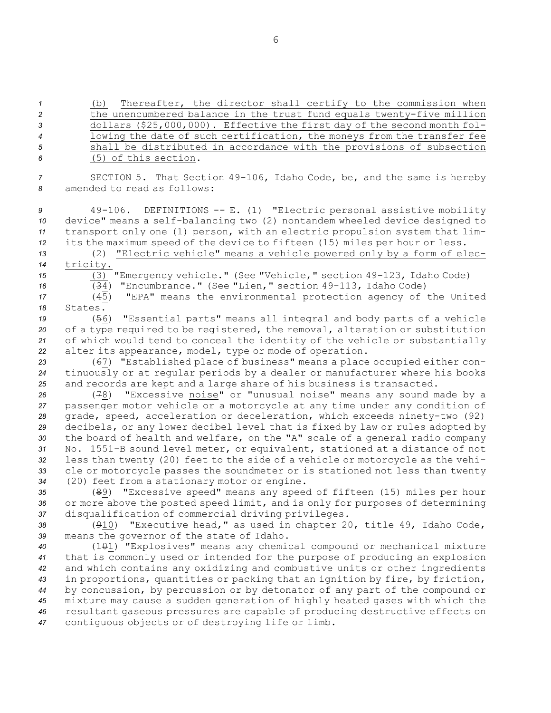(b) Thereafter, the director shall certify to the commission when the unencumbered balance in the trust fund equals twenty-five million dollars (\$25,000,000). Effective the first day of the second month fol- lowing the date of such certification, the moneys from the transfer fee shall be distributed in accordance with the provisions of subsection

*6* (5) of this section.

*<sup>7</sup>* SECTION 5. That Section 49-106, Idaho Code, be, and the same is hereby *8* amended to read as follows:

 49-106. DEFINITIONS -- E. (1) "Electric personal assistive mobility device" means <sup>a</sup> self-balancing two (2) nontandem wheeled device designed to transport only one (1) person, with an electric propulsion system that lim-its the maximum speed of the device to fifteen (15) miles per hour or less.

*<sup>13</sup>* (2) "Electric vehicle" means <sup>a</sup> vehicle powered only by <sup>a</sup> form of elec-*<sup>14</sup>* tricity. *<sup>15</sup>* (3) "Emergency vehicle." (See "Vehicle," section 49-123, Idaho Code)

*<sup>16</sup>* (34) "Encumbrance." (See "Lien," section 49-113, Idaho Code)

*<sup>17</sup>* (45) "EPA" means the environmental protection agency of the United *18* States.

 (56) "Essential parts" means all integral and body parts of <sup>a</sup> vehicle of <sup>a</sup> type required to be registered, the removal, alteration or substitution of which would tend to conceal the identity of the vehicle or substantially alter its appearance, model, type or mode of operation.

*<sup>23</sup>* (67) "Established place of business" means <sup>a</sup> place occupied either con-*<sup>24</sup>* tinuously or at regular periods by <sup>a</sup> dealer or manufacturer where his books *<sup>25</sup>* and records are kept and <sup>a</sup> large share of his business is transacted.

 (78) "Excessive noise" or "unusual noise" means any sound made by <sup>a</sup> passenger motor vehicle or <sup>a</sup> motorcycle at any time under any condition of grade, speed, acceleration or deceleration, which exceeds ninety-two (92) decibels, or any lower decibel level that is fixed by law or rules adopted by the board of health and welfare, on the "A" scale of <sup>a</sup> general radio company No. 1551-B sound level meter, or equivalent, stationed at <sup>a</sup> distance of not less than twenty (20) feet to the side of <sup>a</sup> vehicle or motorcycle as the vehi- cle or motorcycle passes the soundmeter or is stationed not less than twenty (20) feet from <sup>a</sup> stationary motor or engine.

*<sup>35</sup>* (89) "Excessive speed" means any speed of fifteen (15) miles per hour *<sup>36</sup>* or more above the posted speed limit, and is only for purposes of determining *<sup>37</sup>* disqualification of commercial driving privileges.

*<sup>38</sup>* (910) "Executive head," as used in chapter 20, title 49, Idaho Code, *<sup>39</sup>* means the governor of the state of Idaho.

 (101) "Explosives" means any chemical compound or mechanical mixture that is commonly used or intended for the purpose of producing an explosion and which contains any oxidizing and combustive units or other ingredients in proportions, quantities or packing that an ignition by fire, by friction, by concussion, by percussion or by detonator of any part of the compound or mixture may cause <sup>a</sup> sudden generation of highly heated gases with which the resultant gaseous pressures are capable of producing destructive effects on contiguous objects or of destroying life or limb.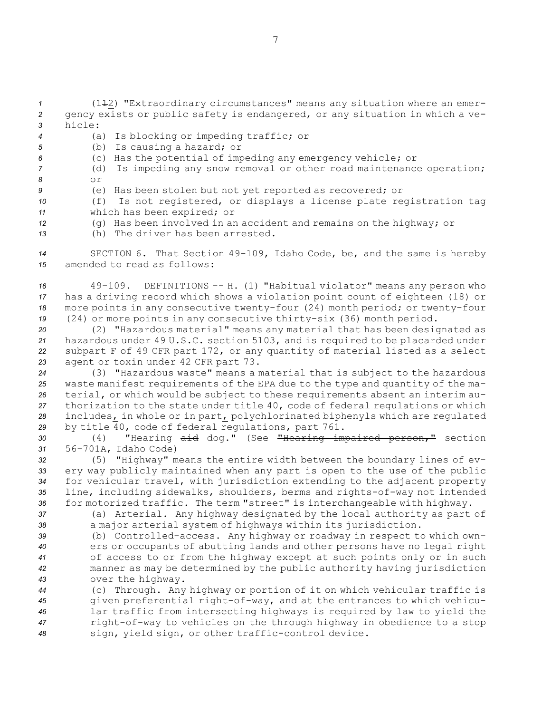*<sup>1</sup>* (112) "Extraordinary circumstances" means any situation where an emer-*<sup>2</sup>* gency exists or public safety is endangered, or any situation in which <sup>a</sup> ve-*3* hicle:

- *<sup>4</sup>* (a) Is blocking or impeding traffic; or
- *<sup>5</sup>* (b) Is causing <sup>a</sup> hazard; or
- *<sup>6</sup>* (c) Has the potential of impeding any emergency vehicle; or
- *<sup>7</sup>* (d) Is impeding any snow removal or other road maintenance operation; *8* or
- *<sup>9</sup>* (e) Has been stolen but not yet reported as recovered; or
- *<sup>10</sup>* (f) Is not registered, or displays <sup>a</sup> license plate registration tag *<sup>11</sup>* which has been expired; or
- *<sup>12</sup>* (g) Has been involved in an accident and remains on the highway; or
- *13* (h) The driver has been arrested.

*<sup>14</sup>* SECTION 6. That Section 49-109, Idaho Code, be, and the same is hereby *15* amended to read as follows:

 49-109. DEFINITIONS -- H. (1) "Habitual violator" means any person who has <sup>a</sup> driving record which shows <sup>a</sup> violation point count of eighteen (18) or more points in any consecutive twenty-four (24) month period; or twenty-four (24) or more points in any consecutive thirty-six (36) month period.

 (2) "Hazardous material" means any material that has been designated as hazardous under 49 U.S.C. section 5103, and is required to be placarded under subpart <sup>F</sup> of 49 CFR part 172, or any quantity of material listed as <sup>a</sup> select agent or toxin under 42 CFR part 73.

 (3) "Hazardous waste" means <sup>a</sup> material that is subject to the hazardous waste manifest requirements of the EPA due to the type and quantity of the ma- terial, or which would be subject to these requirements absent an interim au- thorization to the state under title 40, code of federal regulations or which includes, in whole or in part, polychlorinated biphenyls which are regulated by title 40, code of federal regulations, part 761.

*<sup>30</sup>* (4) "Hearing aid dog." (See "Hearing impaired person," section *<sup>31</sup>* 56-701A, Idaho Code)

 (5) "Highway" means the entire width between the boundary lines of ev- ery way publicly maintained when any part is open to the use of the public for vehicular travel, with jurisdiction extending to the adjacent property line, including sidewalks, shoulders, berms and rights-of-way not intended for motorized traffic. The term "street" is interchangeable with highway.

*<sup>37</sup>* (a) Arterial. Any highway designated by the local authority as part of *<sup>38</sup>* <sup>a</sup> major arterial system of highways within its jurisdiction.

 (b) Controlled-access. Any highway or roadway in respect to which own- ers or occupants of abutting lands and other persons have no legal right of access to or from the highway except at such points only or in such manner as may be determined by the public authority having jurisdiction over the highway.

 (c) Through. Any highway or portion of it on which vehicular traffic is given preferential right-of-way, and at the entrances to which vehicu- lar traffic from intersecting highways is required by law to yield the right-of-way to vehicles on the through highway in obedience to <sup>a</sup> stop sign, yield sign, or other traffic-control device.

7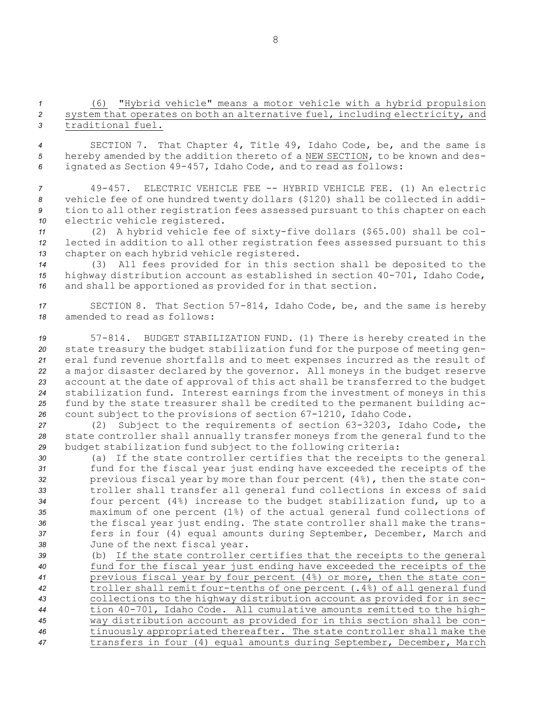*<sup>1</sup>* (6) "Hybrid vehicle" means <sup>a</sup> motor vehicle with <sup>a</sup> hybrid propulsion *<sup>2</sup>* system that operates on both an alternative fuel, including electricity, and *3* traditional fuel.

*<sup>4</sup>* SECTION 7. That Chapter 4, Title 49, Idaho Code, be, and the same is *<sup>5</sup>* hereby amended by the addition thereto of <sup>a</sup> NEW SECTION, to be known and des-*<sup>6</sup>* ignated as Section 49-457, Idaho Code, and to read as follows:

 49-457. ELECTRIC VEHICLE FEE -- HYBRID VEHICLE FEE. (1) An electric vehicle fee of one hundred twenty dollars (\$120) shall be collected in addi- tion to all other registration fees assessed pursuant to this chapter on each electric vehicle registered.

*<sup>11</sup>* (2) <sup>A</sup> hybrid vehicle fee of sixty-five dollars (\$65.00) shall be col-*<sup>12</sup>* lected in addition to all other registration fees assessed pursuant to this *<sup>13</sup>* chapter on each hybrid vehicle registered.

*<sup>14</sup>* (3) All fees provided for in this section shall be deposited to the *<sup>15</sup>* highway distribution account as established in section 40-701, Idaho Code, *<sup>16</sup>* and shall be apportioned as provided for in that section.

*<sup>17</sup>* SECTION 8. That Section 57-814, Idaho Code, be, and the same is hereby *18* amended to read as follows:

 57-814. BUDGET STABILIZATION FUND. (1) There is hereby created in the state treasury the budget stabilization fund for the purpose of meeting gen- eral fund revenue shortfalls and to meet expenses incurred as the result of <sup>a</sup> major disaster declared by the governor. All moneys in the budget reserve account at the date of approval of this act shall be transferred to the budget stabilization fund. Interest earnings from the investment of moneys in this fund by the state treasurer shall be credited to the permanent building ac-count subject to the provisions of section 67-1210, Idaho Code.

*<sup>27</sup>* (2) Subject to the requirements of section 63-3203, Idaho Code, the *<sup>28</sup>* state controller shall annually transfer moneys from the general fund to the *<sup>29</sup>* budget stabilization fund subject to the following criteria:

 (a) If the state controller certifies that the receipts to the general fund for the fiscal year just ending have exceeded the receipts of the previous fiscal year by more than four percent (4%), then the state con- troller shall transfer all general fund collections in excess of said four percent (4%) increase to the budget stabilization fund, up to <sup>a</sup> maximum of one percent (1%) of the actual general fund collections of the fiscal year just ending. The state controller shall make the trans- fers in four (4) equal amounts during September, December, March and June of the next fiscal year.

 (b) If the state controller certifies that the receipts to the general fund for the fiscal year just ending have exceeded the receipts of the previous fiscal year by four percent (4%) or more, then the state con- troller shall remit four-tenths of one percent (.4%) of all general fund collections to the highway distribution account as provided for in sec- tion 40-701, Idaho Code. All cumulative amounts remitted to the high- way distribution account as provided for in this section shall be con- tinuously appropriated thereafter. The state controller shall make the transfers in four (4) equal amounts during September, December, March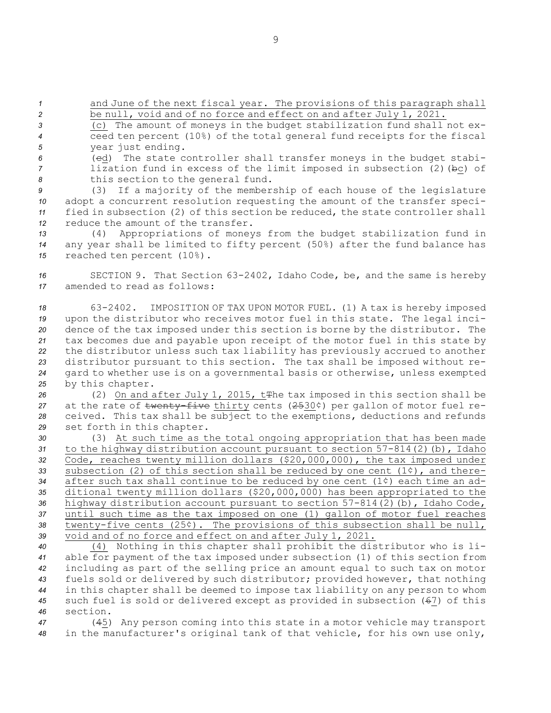*<sup>1</sup>* and June of the next fiscal year. The provisions of this paragraph shall *<sup>2</sup>* be null, void and of no force and effect on and after July 1, 2021.

*<sup>3</sup>* (c) The amount of moneys in the budget stabilization fund shall not ex-*<sup>4</sup>* ceed ten percent (10%) of the total general fund receipts for the fiscal *<sup>5</sup>* year just ending.

*<sup>6</sup>* (cd) The state controller shall transfer moneys in the budget stabi-*<sup>7</sup>* lization fund in excess of the limit imposed in subsection (2)(bc) of *<sup>8</sup>* this section to the general fund.

 (3) If <sup>a</sup> majority of the membership of each house of the legislature adopt <sup>a</sup> concurrent resolution requesting the amount of the transfer speci- fied in subsection (2) of this section be reduced, the state controller shall reduce the amount of the transfer.

*<sup>13</sup>* (4) Appropriations of moneys from the budget stabilization fund in *<sup>14</sup>* any year shall be limited to fifty percent (50%) after the fund balance has *<sup>15</sup>* reached ten percent (10%).

*<sup>16</sup>* SECTION 9. That Section 63-2402, Idaho Code, be, and the same is hereby *17* amended to read as follows:

 63-2402. IMPOSITION OF TAX UPON MOTOR FUEL. (1) <sup>A</sup> tax is hereby imposed upon the distributor who receives motor fuel in this state. The legal inci- dence of the tax imposed under this section is borne by the distributor. The tax becomes due and payable upon receipt of the motor fuel in this state by the distributor unless such tax liability has previously accrued to another distributor pursuant to this section. The tax shall be imposed without re- gard to whether use is on <sup>a</sup> governmental basis or otherwise, unless exempted by this chapter.

 (2) On and after July 1, 2015, tThe tax imposed in this section shall be at the rate of twenty-five thirty cents (2530¢) per gallon of motor fuel re- ceived. This tax shall be subject to the exemptions, deductions and refunds set forth in this chapter.

 (3) At such time as the total ongoing appropriation that has been made to the highway distribution account pursuant to section 57-814(2)(b), Idaho Code, reaches twenty million dollars (\$20,000,000), the tax imposed under subsection (2) of this section shall be reduced by one cent (1¢), and there- after such tax shall continue to be reduced by one cent (1¢) each time an ad- ditional twenty million dollars (\$20,000,000) has been appropriated to the highway distribution account pursuant to section 57-814(2)(b), Idaho Code, until such time as the tax imposed on one (1) gallon of motor fuel reaches twenty-five cents (25¢). The provisions of this subsection shall be null, void and of no force and effect on and after July 1, 2021.

 (4) Nothing in this chapter shall prohibit the distributor who is li- able for payment of the tax imposed under subsection (1) of this section from including as part of the selling price an amount equal to such tax on motor fuels sold or delivered by such distributor; provided however, that nothing in this chapter shall be deemed to impose tax liability on any person to whom such fuel is sold or delivered except as provided in subsection (67) of this *46* section.

*<sup>47</sup>* (45) Any person coming into this state in <sup>a</sup> motor vehicle may transport *<sup>48</sup>* in the manufacturer's original tank of that vehicle, for his own use only,